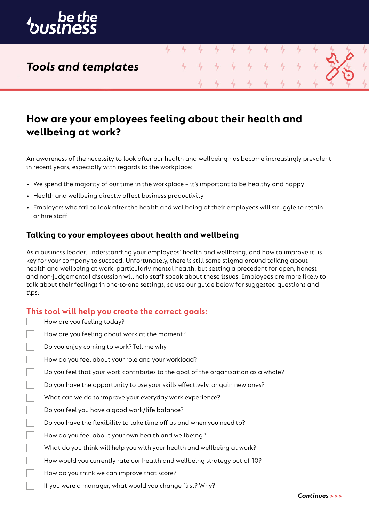

# *Tools and templates*

# **How are your employees feeling about their health and wellbeing at work?**

4

4

4

An awareness of the necessity to look after our health and wellbeing has become increasingly prevalent in recent years, especially with regards to the workplace:

- We spend the majority of our time in the workplace it's important to be healthy and happy
- Health and wellbeing directly affect business productivity
- Employers who fail to look after the health and wellbeing of their employees will struggle to retain or hire staff

### **Talking to your employees about health and wellbeing**

As a business leader, understanding your employees' health and wellbeing, and how to improve it, is key for your company to succeed. Unfortunately, there is still some stigma around talking about health and wellbeing at work, particularly mental health, but setting a precedent for open, honest and non-judgemental discussion will help staff speak about these issues. Employees are more likely to talk about their feelings in one-to-one settings, so use our guide below for suggested questions and tips:

### **This tool will help you create the correct goals:**

| How are you feeling today?                                                         |
|------------------------------------------------------------------------------------|
| How are you feeling about work at the moment?                                      |
| Do you enjoy coming to work? Tell me why                                           |
| How do you feel about your role and your workload?                                 |
| Do you feel that your work contributes to the goal of the organisation as a whole? |
| Do you have the opportunity to use your skills effectively, or gain new ones?      |
| What can we do to improve your everyday work experience?                           |
| Do you feel you have a good work/life balance?                                     |
| Do you have the flexibility to take time off as and when you need to?              |
| How do you feel about your own health and wellbeing?                               |
| What do you think will help you with your health and wellbeing at work?            |
| How would you currently rate our health and wellbeing strategy out of 10?          |
| How do you think we can improve that score?                                        |
| If you were a manager, what would you change first? Why?                           |